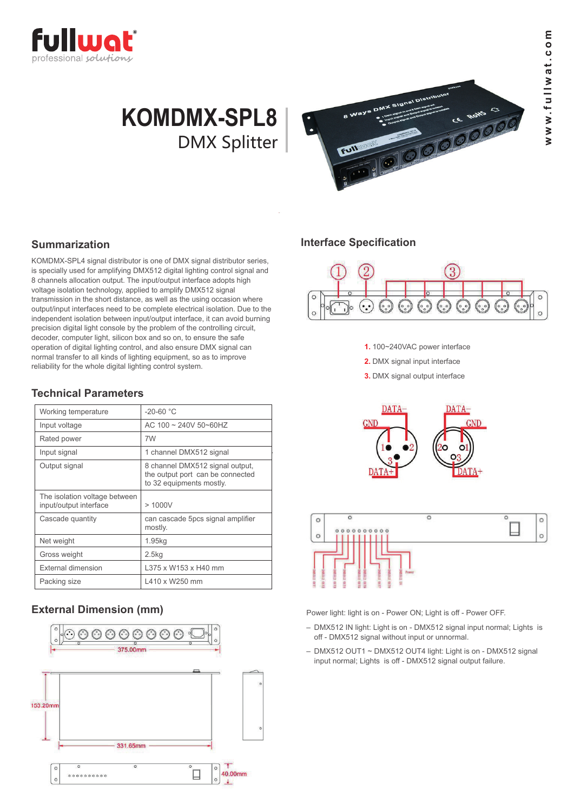

# **KOMDMX-SPL8** DMX Splitter



## **Summarization**

KOMDMX-SPL4 signal distributor is one of DMX signal distributor series, is specially used for amplifying DMX512 digital lighting control signal and 8 channels allocation output. The input/output interface adopts high voltage isolation technology, applied to amplify DMX512 signal transmission in the short distance, as well as the using occasion where output/input interfaces need to be complete electrical isolation. Due to the independent isolation between input/output interface, it can avoid burning precision digital light console by the problem of the controlling circuit, decoder, computer light, silicon box and so on, to ensure the safe operation of digital lighting control, and also ensure DMX signal can normal transfer to all kinds of lighting equipment, so as to improve reliability for the whole digital lighting control system.

## **Technical Parameters**

| $-20 - 60 °C$                                                                                   |
|-------------------------------------------------------------------------------------------------|
| AC 100 ~ 240V 50~60HZ                                                                           |
| 7W                                                                                              |
| 1 channel DMX512 signal                                                                         |
| 8 channel DMX512 signal output,<br>the output port can be connected<br>to 32 equipments mostly. |
| > 1000V                                                                                         |
| can cascade 5pcs signal amplifier<br>mostly.                                                    |
| 1.95kg                                                                                          |
| 2.5 <sub>kq</sub>                                                                               |
| L375 x W153 x H40 mm                                                                            |
| L410 x W250 mm                                                                                  |
|                                                                                                 |

## **External Dimension (mm)**



#### **Interface Specification**



**1.** 100~240VAC power interface

**2.** DMX signal input interface

**3.** DMX signal output interface





Power light: light is on - Power ON; Light is off - Power OFF.

- DMX512 IN light: Light is on DMX512 signal input normal; Lights is off - DMX512 signal without input or unnormal.
- DMX512 OUT1 ~ DMX512 OUT4 light: Light is on DMX512 signal input normal; Lights is off - DMX512 signal output failure.